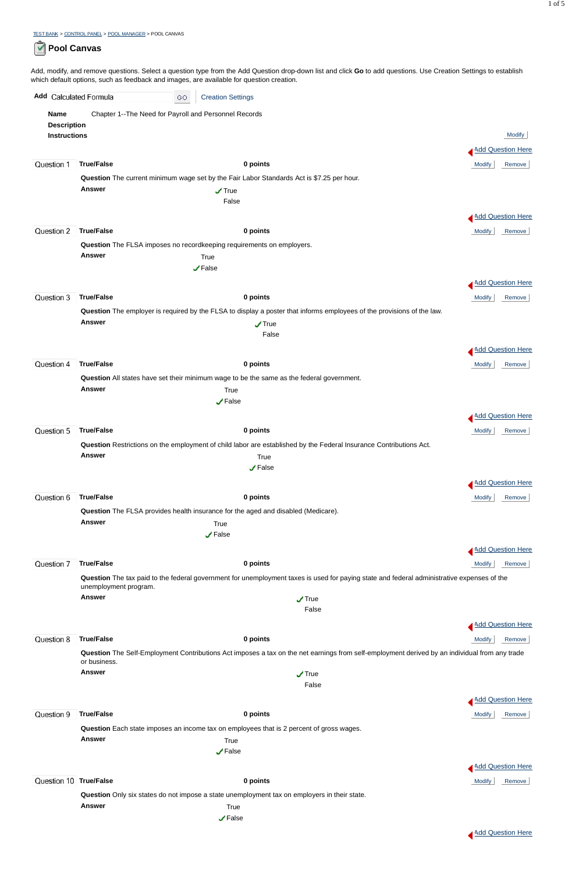TEST BANK > CONTROL PANEL > POOL MANAGER > POOL CANVAS

## **Pool Canvas**

Add, modify, and remove questions. Select a question type from the Add Question drop-down list and click **Go** to add questions. Use Creation Settings to establish which default options, such as feedback and images, are available for question creation.

| Add Calculated Formula |                       | <b>Creation Settings</b><br>GO.                                                                                                            |                          |
|------------------------|-----------------------|--------------------------------------------------------------------------------------------------------------------------------------------|--------------------------|
| <b>Name</b>            |                       | Chapter 1--The Need for Payroll and Personnel Records                                                                                      |                          |
| <b>Description</b>     |                       |                                                                                                                                            |                          |
| <b>Instructions</b>    |                       |                                                                                                                                            | <b>Modify</b>            |
|                        |                       |                                                                                                                                            | <b>Add Question Here</b> |
| Question 1             | <b>True/False</b>     | 0 points                                                                                                                                   | <b>Modify</b><br>Remove  |
|                        |                       | Question The current minimum wage set by the Fair Labor Standards Act is \$7.25 per hour.                                                  |                          |
|                        | <b>Answer</b>         | $\sqrt{ }$ True<br>False                                                                                                                   |                          |
|                        |                       |                                                                                                                                            |                          |
|                        |                       |                                                                                                                                            | <b>Add Question Here</b> |
| Question <sub>2</sub>  | <b>True/False</b>     | 0 points                                                                                                                                   | Modify<br>Remove         |
|                        | <b>Answer</b>         | Question The FLSA imposes no recordkeeping requirements on employers.<br>True                                                              |                          |
|                        |                       | $\sqrt{ }$ False                                                                                                                           |                          |
|                        |                       |                                                                                                                                            | Add Question Here        |
| Question 3             | <b>True/False</b>     | 0 points                                                                                                                                   | <b>Modify</b><br>Remove  |
|                        |                       | Question The employer is required by the FLSA to display a poster that informs employees of the provisions of the law.                     |                          |
|                        | <b>Answer</b>         | $\sqrt{ }$ True                                                                                                                            |                          |
|                        |                       | False                                                                                                                                      |                          |
|                        |                       |                                                                                                                                            | <b>Add Question Here</b> |
| Question 4             | <b>True/False</b>     | 0 points                                                                                                                                   | <b>Modify</b><br>Remove  |
|                        | <b>Answer</b>         | Question All states have set their minimum wage to be the same as the federal government.                                                  |                          |
|                        |                       | True<br>$\sqrt{ }$ False                                                                                                                   |                          |
|                        |                       |                                                                                                                                            | <b>Add Question Here</b> |
| Question 5             | <b>True/False</b>     | 0 points                                                                                                                                   | Modify<br>Remove         |
|                        |                       | Question Restrictions on the employment of child labor are established by the Federal Insurance Contributions Act.                         |                          |
|                        | <b>Answer</b>         | True                                                                                                                                       |                          |
|                        |                       | $\sqrt{ }$ False                                                                                                                           |                          |
|                        |                       |                                                                                                                                            | Add Question Here        |
| Question 6             | <b>True/False</b>     | 0 points                                                                                                                                   | <b>Modify</b><br>Remove  |
|                        |                       | Question The FLSA provides health insurance for the aged and disabled (Medicare).                                                          |                          |
|                        | <b>Answer</b>         | True                                                                                                                                       |                          |
|                        |                       | $\sqrt{\ }$ False                                                                                                                          |                          |
|                        |                       |                                                                                                                                            | <b>Add Question Here</b> |
| Question 7             | <b>True/False</b>     | 0 points                                                                                                                                   | Remove<br><b>Modify</b>  |
|                        | unemployment program. | Question The tax paid to the federal government for unemployment taxes is used for paying state and federal administrative expenses of the |                          |
|                        | <b>Answer</b>         | $\sqrt{ }$ True                                                                                                                            |                          |
|                        |                       | False                                                                                                                                      |                          |
|                        |                       |                                                                                                                                            | Add Question Here        |

| Question 8  | <b>True/False</b>                                                                            | 0 points                                                                                                                                      | <b>Modify</b><br>Remove |  |
|-------------|----------------------------------------------------------------------------------------------|-----------------------------------------------------------------------------------------------------------------------------------------------|-------------------------|--|
|             | or business.                                                                                 | Question The Self-Employment Contributions Act imposes a tax on the net earnings from self-employment derived by an individual from any trade |                         |  |
|             | Answer                                                                                       | $\sqrt{ }$ True                                                                                                                               |                         |  |
|             |                                                                                              | False                                                                                                                                         |                         |  |
|             |                                                                                              |                                                                                                                                               | Add Question Here       |  |
| Question 9  | <b>True/False</b>                                                                            | 0 points                                                                                                                                      | Modify<br>Remove        |  |
|             | Question Each state imposes an income tax on employees that is 2 percent of gross wages.     |                                                                                                                                               |                         |  |
|             | <b>Answer</b>                                                                                | True                                                                                                                                          |                         |  |
|             |                                                                                              | $\sqrt{ }$ False                                                                                                                              |                         |  |
|             |                                                                                              |                                                                                                                                               | Add Question Here       |  |
| Question 10 | <b>True/False</b>                                                                            | 0 points                                                                                                                                      | Modify<br>Remove        |  |
|             | Question Only six states do not impose a state unemployment tax on employers in their state. |                                                                                                                                               |                         |  |
|             | <b>Answer</b>                                                                                | True                                                                                                                                          |                         |  |
|             |                                                                                              | $\sqrt{}$ False                                                                                                                               |                         |  |

Add Question Here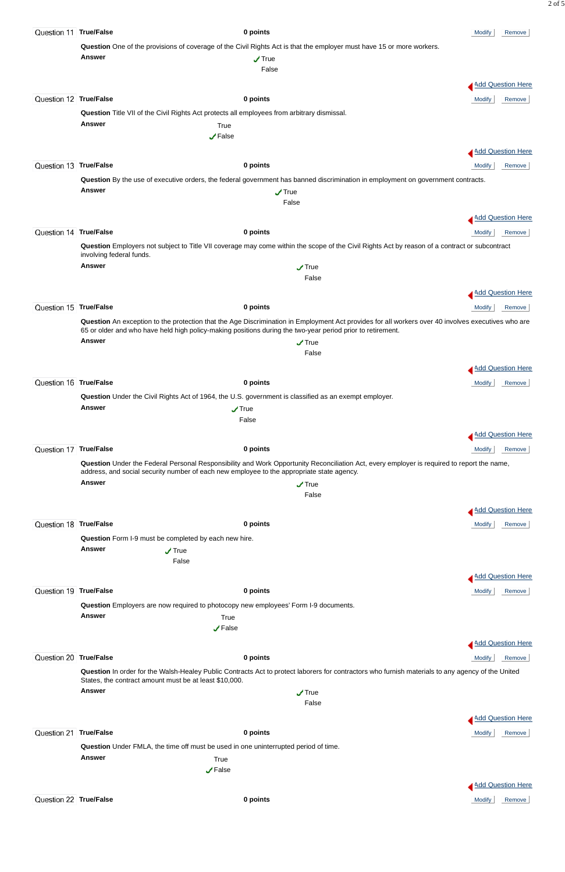| Question 11 True/False |                                                                                                                                                                                                                                         | 0 points                                                                                                                                                                                                                                                         | <b>Modify</b><br>Remove  |  |
|------------------------|-----------------------------------------------------------------------------------------------------------------------------------------------------------------------------------------------------------------------------------------|------------------------------------------------------------------------------------------------------------------------------------------------------------------------------------------------------------------------------------------------------------------|--------------------------|--|
|                        |                                                                                                                                                                                                                                         | Question One of the provisions of coverage of the Civil Rights Act is that the employer must have 15 or more workers.                                                                                                                                            |                          |  |
|                        | <b>Answer</b>                                                                                                                                                                                                                           | $\sqrt{ }$ True                                                                                                                                                                                                                                                  |                          |  |
|                        |                                                                                                                                                                                                                                         | False                                                                                                                                                                                                                                                            |                          |  |
|                        |                                                                                                                                                                                                                                         |                                                                                                                                                                                                                                                                  | Add Question Here        |  |
| Question 12 True/False |                                                                                                                                                                                                                                         | 0 points                                                                                                                                                                                                                                                         | Modify<br>Remove         |  |
|                        |                                                                                                                                                                                                                                         | Question Title VII of the Civil Rights Act protects all employees from arbitrary dismissal.                                                                                                                                                                      |                          |  |
|                        | <b>Answer</b>                                                                                                                                                                                                                           | True                                                                                                                                                                                                                                                             |                          |  |
|                        |                                                                                                                                                                                                                                         | $\sqrt{\mathsf{False}}$                                                                                                                                                                                                                                          |                          |  |
|                        |                                                                                                                                                                                                                                         |                                                                                                                                                                                                                                                                  | <b>Add Question Here</b> |  |
| Question 13 True/False |                                                                                                                                                                                                                                         | 0 points                                                                                                                                                                                                                                                         | Remove<br><b>Modify</b>  |  |
|                        |                                                                                                                                                                                                                                         | Question By the use of executive orders, the federal government has banned discrimination in employment on government contracts.                                                                                                                                 |                          |  |
|                        | <b>Answer</b>                                                                                                                                                                                                                           | $\sqrt{ }$ True                                                                                                                                                                                                                                                  |                          |  |
|                        |                                                                                                                                                                                                                                         | False                                                                                                                                                                                                                                                            |                          |  |
|                        |                                                                                                                                                                                                                                         |                                                                                                                                                                                                                                                                  | <b>Add Question Here</b> |  |
| Question 14 True/False |                                                                                                                                                                                                                                         | 0 points                                                                                                                                                                                                                                                         | Remove<br>Modify         |  |
|                        | involving federal funds.                                                                                                                                                                                                                | Question Employers not subject to Title VII coverage may come within the scope of the Civil Rights Act by reason of a contract or subcontract                                                                                                                    |                          |  |
|                        | <b>Answer</b>                                                                                                                                                                                                                           | $\sqrt{ }$ True                                                                                                                                                                                                                                                  |                          |  |
|                        |                                                                                                                                                                                                                                         | False                                                                                                                                                                                                                                                            |                          |  |
|                        |                                                                                                                                                                                                                                         |                                                                                                                                                                                                                                                                  | <b>Add Question Here</b> |  |
| Question 15 True/False |                                                                                                                                                                                                                                         | 0 points                                                                                                                                                                                                                                                         | Modify<br>Remove         |  |
|                        |                                                                                                                                                                                                                                         | Question An exception to the protection that the Age Discrimination in Employment Act provides for all workers over 40 involves executives who are<br>65 or older and who have held high policy-making positions during the two-year period prior to retirement. |                          |  |
|                        | <b>Answer</b>                                                                                                                                                                                                                           | $\sqrt{ }$ True                                                                                                                                                                                                                                                  |                          |  |
|                        |                                                                                                                                                                                                                                         | False                                                                                                                                                                                                                                                            |                          |  |
|                        |                                                                                                                                                                                                                                         |                                                                                                                                                                                                                                                                  | Add Question Here        |  |
| Question 16 True/False |                                                                                                                                                                                                                                         | 0 points                                                                                                                                                                                                                                                         | <b>Modify</b><br>Remove  |  |
|                        |                                                                                                                                                                                                                                         | Question Under the Civil Rights Act of 1964, the U.S. government is classified as an exempt employer.                                                                                                                                                            |                          |  |
|                        | <b>Answer</b>                                                                                                                                                                                                                           | $\sqrt{ }$ True                                                                                                                                                                                                                                                  |                          |  |
|                        |                                                                                                                                                                                                                                         | False                                                                                                                                                                                                                                                            |                          |  |
|                        |                                                                                                                                                                                                                                         |                                                                                                                                                                                                                                                                  | Add Question Here        |  |
| Question 17 True/False |                                                                                                                                                                                                                                         | 0 points                                                                                                                                                                                                                                                         | <b>Modify</b><br>Remove  |  |
|                        | Question Under the Federal Personal Responsibility and Work Opportunity Reconciliation Act, every employer is required to report the name,<br>address, and social security number of each new employee to the appropriate state agency. |                                                                                                                                                                                                                                                                  |                          |  |
|                        | Answer                                                                                                                                                                                                                                  | $\sqrt{ }$ True<br>False                                                                                                                                                                                                                                         |                          |  |
|                        |                                                                                                                                                                                                                                         |                                                                                                                                                                                                                                                                  |                          |  |
|                        |                                                                                                                                                                                                                                         |                                                                                                                                                                                                                                                                  | <b>Add Question Here</b> |  |
| Question 18 True/False |                                                                                                                                                                                                                                         | 0 points                                                                                                                                                                                                                                                         | <b>Modify</b><br>Remove  |  |
|                        |                                                                                                                                                                                                                                         | Question Form I-9 must be completed by each new hire.                                                                                                                                                                                                            |                          |  |
|                        | <b>Answer</b>                                                                                                                                                                                                                           | $\sqrt{ }$ True<br>False                                                                                                                                                                                                                                         |                          |  |
|                        |                                                                                                                                                                                                                                         |                                                                                                                                                                                                                                                                  |                          |  |
|                        |                                                                                                                                                                                                                                         |                                                                                                                                                                                                                                                                  | Add Question Here        |  |
| Question 19 True/False |                                                                                                                                                                                                                                         | 0 points                                                                                                                                                                                                                                                         | Remove<br><b>Modify</b>  |  |
|                        | <b>Answer</b>                                                                                                                                                                                                                           | Question Employers are now required to photocopy new employees' Form I-9 documents.                                                                                                                                                                              |                          |  |
|                        |                                                                                                                                                                                                                                         | True<br>$\sqrt{ }$ False                                                                                                                                                                                                                                         |                          |  |



2 of 5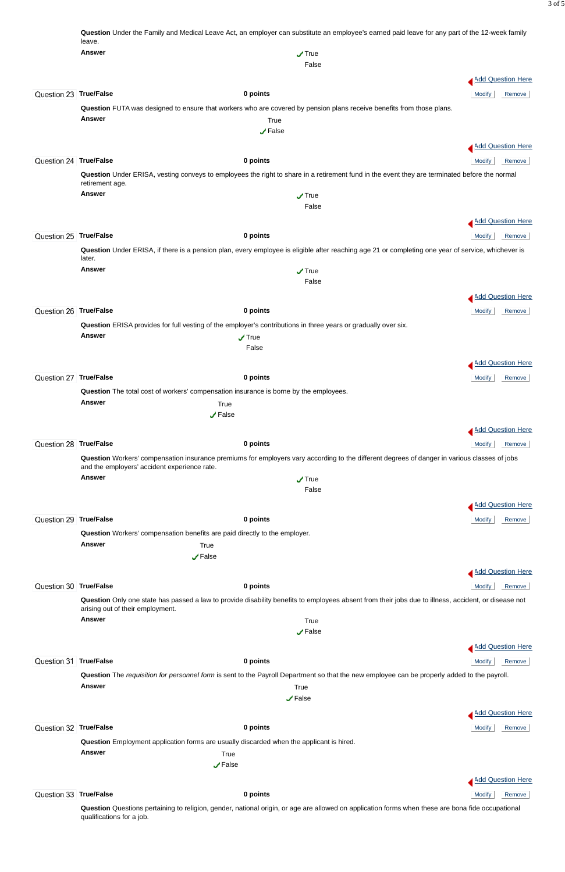|                        | Question Under the Family and Medical Leave Act, an employer can substitute an employee's earned paid leave for any part of the 12-week family<br>leave. |                                                                                                                                                                  |                          |        |
|------------------------|----------------------------------------------------------------------------------------------------------------------------------------------------------|------------------------------------------------------------------------------------------------------------------------------------------------------------------|--------------------------|--------|
|                        | <b>Answer</b>                                                                                                                                            | $\sqrt{ }$ True                                                                                                                                                  |                          |        |
|                        |                                                                                                                                                          | False                                                                                                                                                            |                          |        |
|                        |                                                                                                                                                          |                                                                                                                                                                  | Add Question Here        |        |
| Question 23 True/False |                                                                                                                                                          | 0 points                                                                                                                                                         | <b>Modify</b>            | Remove |
|                        |                                                                                                                                                          |                                                                                                                                                                  |                          |        |
|                        | <b>Answer</b>                                                                                                                                            | Question FUTA was designed to ensure that workers who are covered by pension plans receive benefits from those plans.<br>True                                    |                          |        |
|                        |                                                                                                                                                          | $\sqrt{ }$ False                                                                                                                                                 |                          |        |
|                        |                                                                                                                                                          |                                                                                                                                                                  |                          |        |
|                        |                                                                                                                                                          |                                                                                                                                                                  | <b>Add Question Here</b> |        |
| Question 24 True/False |                                                                                                                                                          | 0 points                                                                                                                                                         | <b>Modify</b>            | Remove |
|                        | retirement age.                                                                                                                                          | Question Under ERISA, vesting conveys to employees the right to share in a retirement fund in the event they are terminated before the normal                    |                          |        |
|                        | <b>Answer</b>                                                                                                                                            | $\sqrt{ }$ True                                                                                                                                                  |                          |        |
|                        |                                                                                                                                                          | False                                                                                                                                                            |                          |        |
|                        |                                                                                                                                                          |                                                                                                                                                                  | <b>Add Question Here</b> |        |
| Question 25 True/False |                                                                                                                                                          | 0 points                                                                                                                                                         | <b>Modify</b>            | Remove |
|                        | later.                                                                                                                                                   | Question Under ERISA, if there is a pension plan, every employee is eligible after reaching age 21 or completing one year of service, whichever is               |                          |        |
|                        | <b>Answer</b>                                                                                                                                            | $\sqrt{ }$ True                                                                                                                                                  |                          |        |
|                        |                                                                                                                                                          | False                                                                                                                                                            |                          |        |
|                        |                                                                                                                                                          |                                                                                                                                                                  | <b>Add Question Here</b> |        |
| Question 26 True/False |                                                                                                                                                          | 0 points                                                                                                                                                         | <b>Modify</b>            | Remove |
|                        |                                                                                                                                                          | Question ERISA provides for full vesting of the employer's contributions in three years or gradually over six.                                                   |                          |        |
|                        | <b>Answer</b>                                                                                                                                            | $\sqrt{ }$ True                                                                                                                                                  |                          |        |
|                        |                                                                                                                                                          | False                                                                                                                                                            |                          |        |
|                        |                                                                                                                                                          |                                                                                                                                                                  | <b>Add Question Here</b> |        |
|                        |                                                                                                                                                          |                                                                                                                                                                  |                          |        |
| Question 27 True/False |                                                                                                                                                          | 0 points                                                                                                                                                         | <b>Modify</b>            | Remove |
|                        | Question The total cost of workers' compensation insurance is borne by the employees.                                                                    |                                                                                                                                                                  |                          |        |
|                        | Answer<br>True                                                                                                                                           |                                                                                                                                                                  |                          |        |
|                        | $\sqrt{ }$ False                                                                                                                                         |                                                                                                                                                                  |                          |        |
|                        |                                                                                                                                                          |                                                                                                                                                                  | Add Question Here        |        |
| Question 28 True/False |                                                                                                                                                          | 0 points                                                                                                                                                         | Modify                   | Remove |
|                        | and the employers' accident experience rate.                                                                                                             | Question Workers' compensation insurance premiums for employers vary according to the different degrees of danger in various classes of jobs                     |                          |        |
|                        | <b>Answer</b>                                                                                                                                            | $\sqrt{ }$ True                                                                                                                                                  |                          |        |
|                        |                                                                                                                                                          | False                                                                                                                                                            |                          |        |
|                        |                                                                                                                                                          |                                                                                                                                                                  | Add Question Here        |        |
| Question 29 True/False |                                                                                                                                                          | 0 points                                                                                                                                                         | <b>Modify</b>            | Remove |
|                        | Question Workers' compensation benefits are paid directly to the employer.                                                                               |                                                                                                                                                                  |                          |        |
|                        | <b>Answer</b><br>True                                                                                                                                    |                                                                                                                                                                  |                          |        |
|                        | $\sqrt{ }$ False                                                                                                                                         |                                                                                                                                                                  |                          |        |
|                        |                                                                                                                                                          |                                                                                                                                                                  | Add Question Here        |        |
| Question 30 True/False |                                                                                                                                                          |                                                                                                                                                                  |                          |        |
|                        |                                                                                                                                                          | 0 points<br>Question Only one state has passed a law to provide disability benefits to employees absent from their jobs due to illness, accident, or disease not | <b>Modify</b>            | Remove |
|                        | arising out of their employment.                                                                                                                         |                                                                                                                                                                  |                          |        |
|                        | Answer                                                                                                                                                   | True                                                                                                                                                             |                          |        |

|                        |                                                                                                                                                   |                                                                                                                                              | Add Question Here       |  |
|------------------------|---------------------------------------------------------------------------------------------------------------------------------------------------|----------------------------------------------------------------------------------------------------------------------------------------------|-------------------------|--|
| Question 31 True/False |                                                                                                                                                   | 0 points                                                                                                                                     | Modify<br>Remove        |  |
|                        |                                                                                                                                                   | Question The requisition for personnel form is sent to the Payroll Department so that the new employee can be properly added to the payroll. |                         |  |
|                        | <b>Answer</b>                                                                                                                                     | True                                                                                                                                         |                         |  |
|                        |                                                                                                                                                   | $\sqrt{ }$ False                                                                                                                             |                         |  |
|                        |                                                                                                                                                   |                                                                                                                                              | Add Question Here       |  |
| Question 32 True/False |                                                                                                                                                   | 0 points                                                                                                                                     | <b>Modify</b><br>Remove |  |
|                        |                                                                                                                                                   | Question Employment application forms are usually discarded when the applicant is hired.                                                     |                         |  |
|                        | <b>Answer</b>                                                                                                                                     | True                                                                                                                                         |                         |  |
|                        |                                                                                                                                                   | $\sqrt{ }$ False                                                                                                                             |                         |  |
|                        |                                                                                                                                                   |                                                                                                                                              | Add Question Here       |  |
| Question 33 True/False |                                                                                                                                                   | 0 points                                                                                                                                     | <b>Modify</b><br>Remove |  |
|                        | Question Questions pertaining to religion, gender, national origin, or age are allowed on application forms when these are bona fide occupational |                                                                                                                                              |                         |  |

qualifications for a job.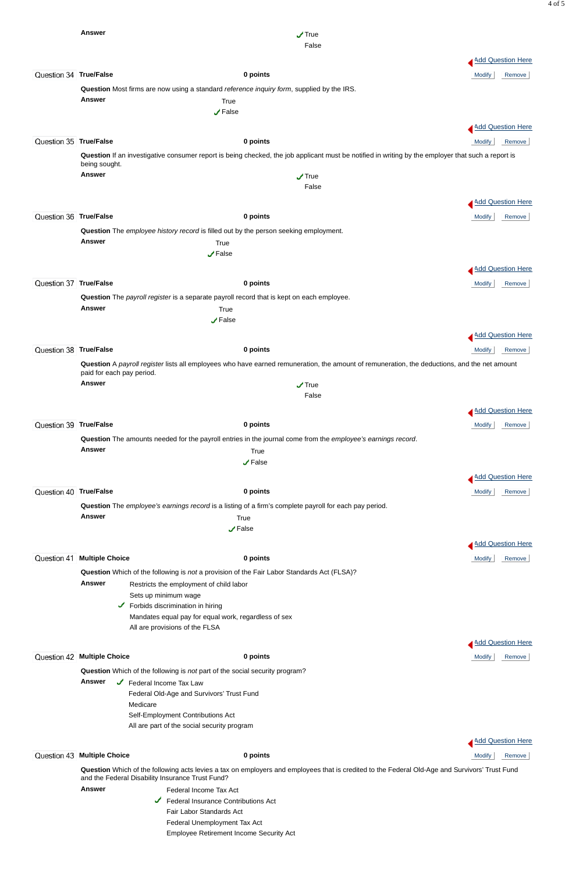|                        | <b>Answer</b>                                                                                          |                                                      | $\sqrt{ }$ True<br>False                                                                                                                           |                          |
|------------------------|--------------------------------------------------------------------------------------------------------|------------------------------------------------------|----------------------------------------------------------------------------------------------------------------------------------------------------|--------------------------|
|                        |                                                                                                        |                                                      |                                                                                                                                                    | Add Question Here        |
| Question 34 True/False |                                                                                                        | 0 points                                             |                                                                                                                                                    | <b>Modify</b><br>Remove  |
|                        | Question Most firms are now using a standard reference inquiry form, supplied by the IRS.              |                                                      |                                                                                                                                                    |                          |
|                        | <b>Answer</b>                                                                                          | True                                                 |                                                                                                                                                    |                          |
|                        |                                                                                                        | $\sqrt{}$ False                                      |                                                                                                                                                    |                          |
|                        |                                                                                                        |                                                      |                                                                                                                                                    | <b>Add Question Here</b> |
| Question 35 True/False |                                                                                                        | 0 points                                             |                                                                                                                                                    | <b>Modify</b><br>Remove  |
|                        | being sought.                                                                                          |                                                      | Question If an investigative consumer report is being checked, the job applicant must be notified in writing by the employer that such a report is |                          |
|                        | <b>Answer</b>                                                                                          |                                                      | $\sqrt{ }$ True                                                                                                                                    |                          |
|                        |                                                                                                        |                                                      | False                                                                                                                                              |                          |
|                        |                                                                                                        |                                                      |                                                                                                                                                    | Add Question Here        |
| Question 36 True/False |                                                                                                        | 0 points                                             |                                                                                                                                                    | Modify<br>Remove         |
|                        | Question The employee history record is filled out by the person seeking employment.<br>Answer         | True                                                 |                                                                                                                                                    |                          |
|                        |                                                                                                        | $\sqrt{ }$ False                                     |                                                                                                                                                    |                          |
|                        |                                                                                                        |                                                      |                                                                                                                                                    | Add Question Here        |
| Question 37 True/False |                                                                                                        | 0 points                                             |                                                                                                                                                    | <b>Modify</b><br>Remove  |
|                        | Question The payroll register is a separate payroll record that is kept on each employee.              |                                                      |                                                                                                                                                    |                          |
|                        | <b>Answer</b>                                                                                          | True                                                 |                                                                                                                                                    |                          |
|                        |                                                                                                        | $\sqrt{\mathsf{False}}$                              |                                                                                                                                                    |                          |
|                        |                                                                                                        |                                                      |                                                                                                                                                    | <b>Add Question Here</b> |
| Question 38 True/False |                                                                                                        | 0 points                                             |                                                                                                                                                    | Remove<br><b>Modify</b>  |
|                        | paid for each pay period.                                                                              |                                                      | Question A payroll register lists all employees who have earned remuneration, the amount of remuneration, the deductions, and the net amount       |                          |
|                        | <b>Answer</b>                                                                                          |                                                      | $\sqrt{ }$ True                                                                                                                                    |                          |
|                        |                                                                                                        |                                                      | False                                                                                                                                              |                          |
|                        |                                                                                                        |                                                      |                                                                                                                                                    | <b>Add Question Here</b> |
| Question 39 True/False |                                                                                                        | 0 points                                             |                                                                                                                                                    | <b>Modify</b><br>Remove  |
|                        | <b>Answer</b>                                                                                          | True                                                 | Question The amounts needed for the payroll entries in the journal come from the employee's earnings record.                                       |                          |
|                        |                                                                                                        | $\sqrt{ }$ False                                     |                                                                                                                                                    |                          |
|                        |                                                                                                        |                                                      |                                                                                                                                                    | Add Question Here        |
| Question 40 True/False |                                                                                                        | 0 points                                             |                                                                                                                                                    | Modify  <br>Remove       |
|                        | Question The employee's earnings record is a listing of a firm's complete payroll for each pay period. |                                                      |                                                                                                                                                    |                          |
|                        | <b>Answer</b>                                                                                          | True<br>$\sqrt{ }$ False                             |                                                                                                                                                    |                          |
|                        |                                                                                                        |                                                      |                                                                                                                                                    | <b>Add Question Here</b> |
| Question 41            | <b>Multiple Choice</b>                                                                                 | 0 points                                             |                                                                                                                                                    | <b>Modify</b><br>Remove  |
|                        | Question Which of the following is not a provision of the Fair Labor Standards Act (FLSA)?             |                                                      |                                                                                                                                                    |                          |
|                        | <b>Answer</b><br>Restricts the employment of child labor                                               |                                                      |                                                                                                                                                    |                          |
|                        | Sets up minimum wage                                                                                   |                                                      |                                                                                                                                                    |                          |
|                        | Forbids discrimination in hiring<br>✓                                                                  | Mandates equal pay for equal work, regardless of sex |                                                                                                                                                    |                          |
|                        | All are provisions of the FLSA                                                                         |                                                      |                                                                                                                                                    |                          |



and the Federal Disability Insurance Trust Fund?

**Answer** Federal Income Tax Act

Federal Insurance Contributions Act

Fair Labor Standards Act

Federal Unemployment Tax Act

Employee Retirement Income Security Act

4 of 5